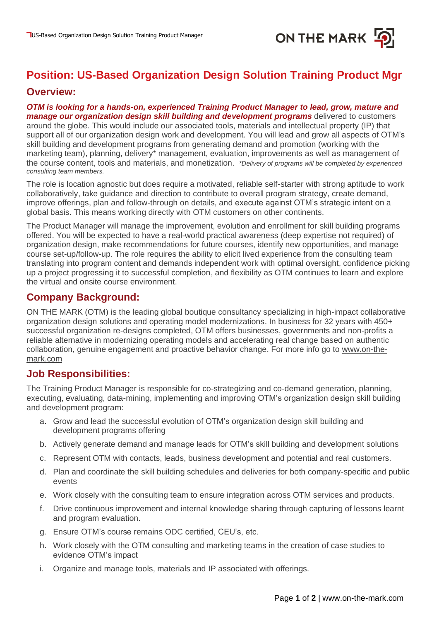

# **Position: US-Based Organization Design Solution Training Product Mgr**

### **Overview:**

*OTM is looking for a hands-on, experienced Training Product Manager to lead, grow, mature and manage our organization design skill building and development programs* delivered to customers around the globe. This would include our associated tools, materials and intellectual property (IP) that support all of our organization design work and development. You will lead and grow all aspects of OTM's skill building and development programs from generating demand and promotion (working with the marketing team), planning, delivery\* management, evaluation, improvements as well as management of the course content, tools and materials, and monetization. *\*Delivery of programs will be completed by experienced consulting team members.*

The role is location agnostic but does require a motivated, reliable self-starter with strong aptitude to work collaboratively, take guidance and direction to contribute to overall program strategy, create demand, improve offerings, plan and follow-through on details, and execute against OTM's strategic intent on a global basis. This means working directly with OTM customers on other continents.

The Product Manager will manage the improvement, evolution and enrollment for skill building programs offered. You will be expected to have a real-world practical awareness (deep expertise not required) of organization design, make recommendations for future courses, identify new opportunities, and manage course set-up/follow-up. The role requires the ability to elicit lived experience from the consulting team translating into program content and demands independent work with optimal oversight, confidence picking up a project progressing it to successful completion, and flexibility as OTM continues to learn and explore the virtual and onsite course environment.

# **Company Background:**

ON THE MARK (OTM) is the leading global boutique consultancy specializing in high-impact collaborative organization design solutions and operating model modernizations. In business for 32 years with 450+ successful organization re-designs completed, OTM offers businesses, governments and non-profits a reliable alternative in modernizing operating models and accelerating real change based on authentic collaboration, genuine engagement and proactive behavior change. For more info go to [www.on-the](http://www.on-the-mark.com/)[mark.com](http://www.on-the-mark.com/)

## **Job Responsibilities:**

The Training Product Manager is responsible for co-strategizing and co-demand generation, planning, executing, evaluating, data-mining, implementing and improving OTM's organization design skill building and development program:

- a. Grow and lead the successful evolution of OTM's organization design skill building and development programs offering
- b. Actively generate demand and manage leads for OTM's skill building and development solutions
- c. Represent OTM with contacts, leads, business development and potential and real customers.
- d. Plan and coordinate the skill building schedules and deliveries for both company-specific and public events
- e. Work closely with the consulting team to ensure integration across OTM services and products.
- f. Drive continuous improvement and internal knowledge sharing through capturing of lessons learnt and program evaluation.
- g. Ensure OTM's course remains ODC certified, CEU's, etc.
- h. Work closely with the OTM consulting and marketing teams in the creation of case studies to evidence OTM's impact
- i. Organize and manage tools, materials and IP associated with offerings.